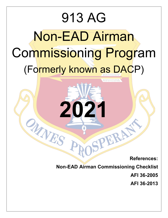# 913 AG Non-EAD Airman Commissioning Program (Formerly known as DACP)

2021

**References:**

**Non-EAD Airman Commissioning Checklist**

SPERA!

**AFI 36-2005**

**AFI 36-2013**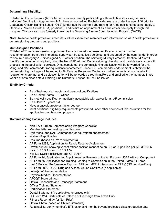#### **Determining Eligibility:**

Enlisted Air Force Reserve (AFR) Airmen who are currently participating with an AFR unit or assigned as an Individual Mobilization Augmentee (IMA), have an accredited Bachelor's degree, are under the age of 40 prior to graduating Officer Training School (OTS) (under age 30 prior to flight training for rated positions (does not apply to Remotely Piloted Aircraft (RPA) positions)), and desire an appointment as a line officer can apply through this program. This program was formerly known as the Deserving Airman Commissioning Program (DACP).

**Note:** Reserve health professions recruiters will assist enlisted members with information on AFR health professions commissioning programs and positions.

#### **Unit Assigned Positions**

Enlisted AFR members seeking appointment as a commissioned reserve officer must obtain written recommendation from their immediate supervisor, be tentatively selected, and endorsed by the commander in order to secure a Category A, unit assigned AFR officer position. The servicing Military Personnel Section (MPS) will identify the documents required, using the Non-EAD Airmen Commissioning checklist, and provide assistance with processing the application package. Once completed, the commissioning application will be forwarded for unit, Wing, and NAF commander (or equivalent) endorsement. Once NAF commander endorsement is obtained the commissioning package will be routed to Air Reserve Personnel Center via myPers to verify all commissioning requirements are met and a selection letter will be forwarded through myPers and emailed to the member. Three weeks prior to class date a Training Line Number (TLN) for OTS will be issued.

#### **Eligibility Criteria:**

- Be of high moral character and personal qualifications
- Be a United States (US) citizen
- Be medically qualified, or medically acceptable with waiver for an AF commission
- Be at least 18 years old
- Have a baccalaureate or higher degree
- Meet additional eligibility requirements prescribed under other sections of this instruction for the applicable commissioning program

#### **Commissioning Package Includes:**

- Non-EAD Airman Commissioning Program Checklist
- Member letter requesting commissioning
- Unit, Wing, and NAF Commander (or equivalent) endorsement
- Waiver (if applicable)
- Resume (based on PM requirements)
- AF Form 1288, Application for Ready Reserve Assignment
- RMVS printout showing vacant officer position (cannot be an SDI or RI position per AFI 36-2005 para. 1.5.1.5.1.4 and 1.5.1.5.1.5)
- MilPDS SURFs (REPSRF and GRBOTH)
- AF Form 24, Application for Appointment as Reserve of the Air Force or USAF without Component
- AF Form 56, Application for Training Leading to Commission in the United States Air Force
- Last 5 Enlisted Performance Reports (EPR) or (MFR if missing or no EPRs) (N/A for Non-Prior)
- AF Form 2030, USAF Drug and Alcohol Abuse Certificate (if applicable)
- Letter(s) of Recommendation
- Physical/Medical Documentation
- AFOQT Score printout
- Official Transcripts and Transcript Statement
- Officer Training Statement
- Participation Statement
- Dental Statement (if applicable, for braces only)
- DD Form 214, Certificate of Release or Discharge from Active Duty
- Fitness Report (N/A for Non-Prior)
- Official Photo (based on PM requirements)
- Retainability, verify member's ETS extends 6 months beyond projected class graduation date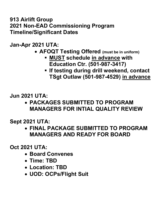### **913 Airlift Group 2021 Non-EAD Commissioning Program Timeline/Significant Dates**

**Jan-Apr 2021 UTA:**

- **AFOQT Testing Offered (must be in uniform)**
	- **MUST schedule in advance with Education Ctr. (501-987-3417)**
	- **If testing during drill weekend, contact TSgt Outlaw (501-987-4529) in advance**

**Jun 2021 UTA:**

• **PACKAGES SUBMITTED TO PROGRAM MANAGERS FOR INTIAL QUALITY REVIEW**

**Sept 2021 UTA:**

• **FINAL PACKAGE SUBMITTED TO PROGRAM MANAGERS AND READY FOR BOARD**

**Oct 2021 UTA:**

- **Board Convenes**
- **Time: TBD**
- **Location: TBD**
- **UOD: OCPs/Flight Suit**